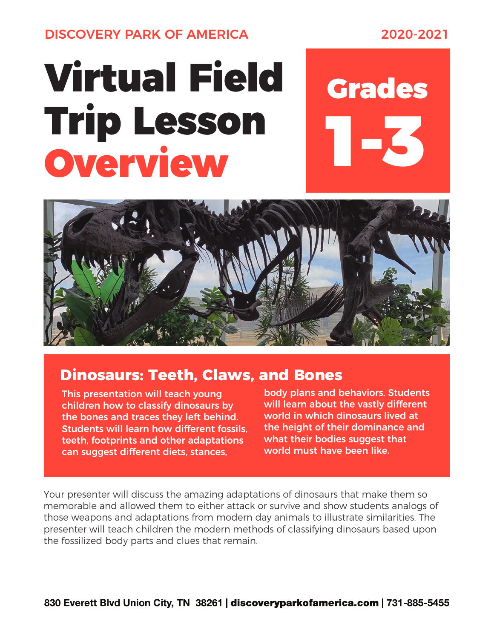DISCOVERY PARK OF AMERICA 2020-2021

## Virtual Field Grades Trip Lesson Overview





## **Dinosaurs: Teeth, Claws, and Bones**

This presentation will teach young children how to classify dinosaurs by the bones and traces they left behind. Students will learn how different fossils, teeth, footprints and other adaptations can suggest different diets, stances,

body plans and behaviors. Students will learn about the vastly different world in which dinosaurs lived at the height of their dominance and what their bodies suggest that world must have been like.

Your presenter will discuss the amazing adaptations of dinosaurs that make them so memorable and allowed them to either attack or survive and show students analogs of those weapons and adaptations from modern day animals to illustrate similarities. The presenter will teach children the modern methods of classifying dinosaurs based upon the fossilized body parts and clues that remain.